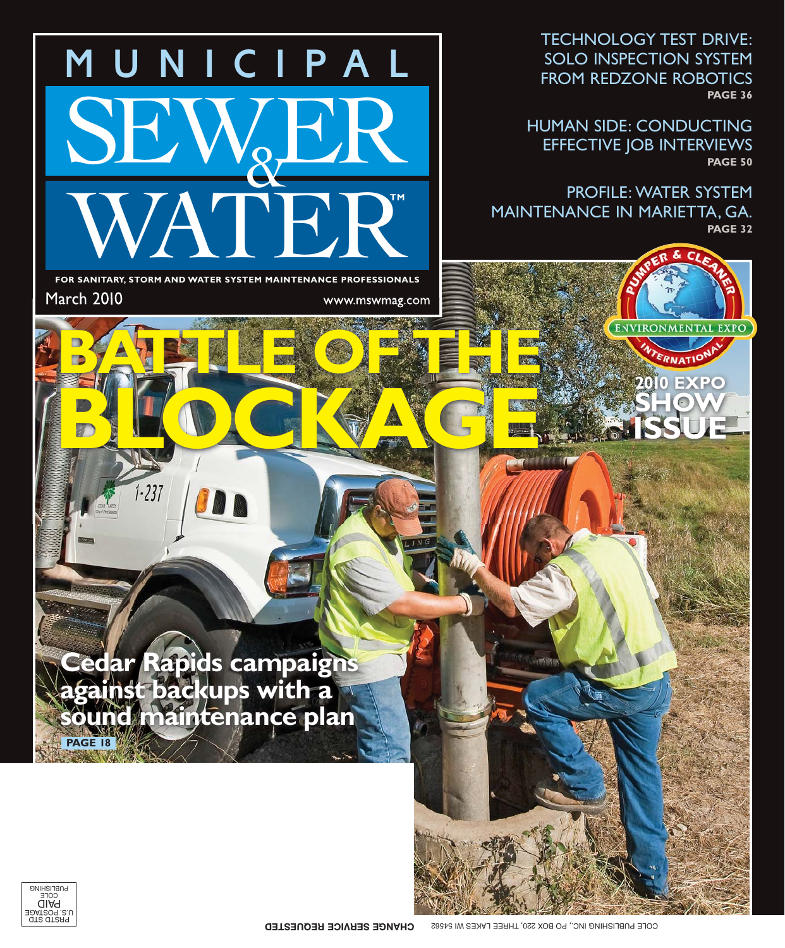TECHNOLOGY TEST DRIVE: FROM REDZONE ROBOTICS FROM REDZONE ROBOTICS **PAGE 36**

HUMAN SIDE: CONDUCTING EFFECTIVE JOB INTERVIEWS **PAGE 50**

> **2010 EXPO SHOW**

**ENVIRONMENTAL EXPO** 

ERNATION

**ISSUE**

PROFILE: WATER SYSTEM<br>MAINTENANCE IN MARIETTA, GA. MAINTENANCE IN MARIETTA, GA. **PAGE 32**

**FOR SANITARY, STORM AND WATER SYSTEM MAINTENANCE PROFESSIONALS March 2010** www.mswmag.com March 2010

WATER.

MUNICIPAL

 $\&$ 

**BATTLE OF THE** 

**BLOCKAGE**

**TM**

SB

 $1.237$ 

**Cedar Rapids campaigns against backups with a** sound maintenance plan **PAGE 18**

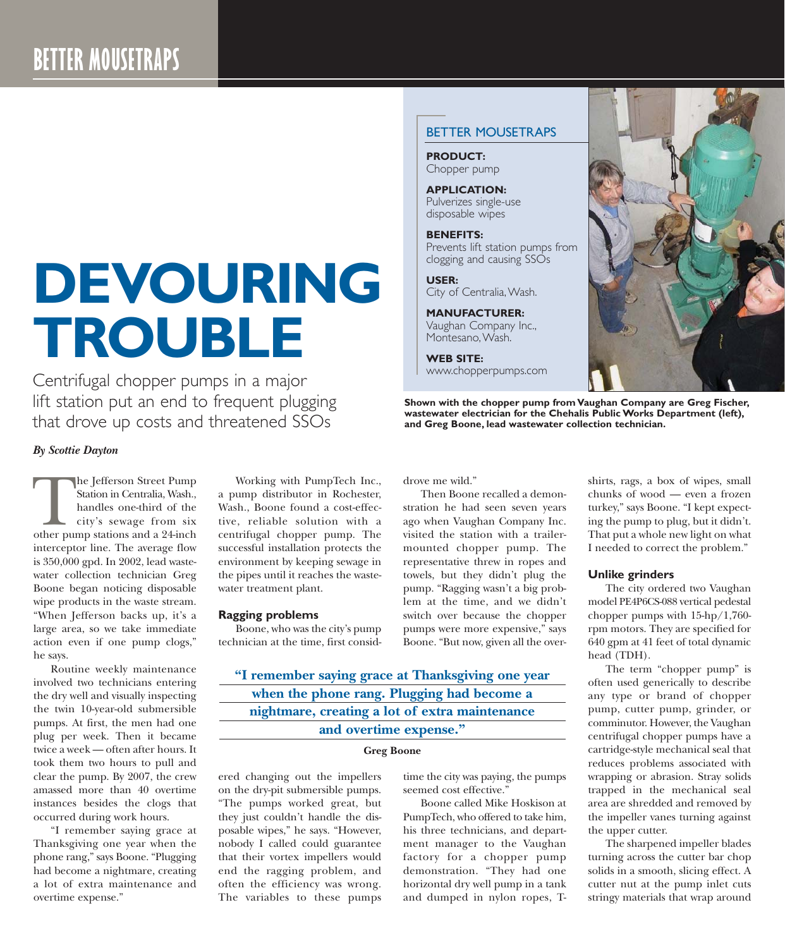# **DEVOURING TROUBLE**

Centrifugal chopper pumps in a major lift station put an end to frequent plugging that drove up costs and threatened SSOs

# *By Scottie Dayton*

he Jefferson Street Pump Station in Centralia, Wash., handles one-third of the city's sewage from six The Jefferson Street Pump Station in Centralia, Wash., handles one-third of the city's sewage from six other pump stations and a 24-inch interceptor line. The average flow is 350,000 gpd. In 2002, lead wastewater collection technician Greg Boone began noticing disposable wipe products in the waste stream. "When Jefferson backs up, it's a large area, so we take immediate action even if one pump clogs," he says.

Routine weekly maintenance involved two technicians entering the dry well and visually inspecting the twin 10-year-old submersible pumps. At first, the men had one plug per week. Then it became twice a week — often after hours. It took them two hours to pull and clear the pump. By 2007, the crew amassed more than 40 overtime instances besides the clogs that occurred during work hours.

"I remember saying grace at Thanksgiving one year when the phone rang," says Boone. "Plugging had become a nightmare, creating a lot of extra maintenance and overtime expense."

Working with PumpTech Inc., a pump distributor in Rochester, Wash., Boone found a cost-effective, reliable solution with a centrifugal chopper pump. The successful installation protects the environment by keeping sewage in the pipes until it reaches the wastewater treatment plant.

### **Ragging problems**

Boone, who was the city's pump technician at the time, first consid-

drove me wild." Then Boone recalled a demon-

stration he had seen seven years ago when Vaughan Company Inc. visited the station with a trailermounted chopper pump. The representative threw in ropes and towels, but they didn't plug the pump. "Ragging wasn't a big problem at the time, and we didn't switch over because the chopper pumps were more expensive," says Boone. "But now, given all the over-

**"I remember saying grace at Thanksgiving one year when the phone rang. Plugging had become a nightmare, creating a lot of extra maintenance and overtime expense."**

#### **Greg Boone**

ered changing out the impellers on the dry-pit submersible pumps. "The pumps worked great, but they just couldn't handle the disposable wipes," he says. "However, nobody I called could guarantee that their vortex impellers would end the ragging problem, and often the efficiency was wrong. The variables to these pumps

time the city was paying, the pumps seemed cost effective."

Boone called Mike Hoskison at PumpTech, who offered to take him, his three technicians, and department manager to the Vaughan factory for a chopper pump demonstration. "They had one horizontal dry well pump in a tank and dumped in nylon ropes, T-

## BETTER MOUSETRAPS

**PRODUCT:** Chopper pump

**APPLICATION:** Pulverizes single-use disposable wipes

**BENEFITS:** Prevents lift station pumps from clogging and causing SSOs

**USER:** City of Centralia, Wash.

**MANUFACTURER:** Vaughan Company Inc., Montesano, Wash.

**WEB SITE:** www.chopperpumps.com

**Shown with the chopper pump from Vaughan Company are Greg Fischer, wastewater electrician for the Chehalis Public Works Department (left), and Greg Boone, lead wastewater collection technician.**

shirts, rags, a box of wipes, small chunks of wood — even a frozen turkey," says Boone. "I kept expecting the pump to plug, but it didn't.

#### **Unlike grinders**

The city ordered two Vaughan model PE4P6CS-088 vertical pedestal chopper pumps with 15-hp/1,760 rpm motors. They are specified for 640 gpm at 41 feet of total dynamic head (TDH).

That put a whole new light on what I needed to correct the problem."

The term "chopper pump" is often used generically to describe any type or brand of chopper pump, cutter pump, grinder, or comminutor. However, the Vaughan centrifugal chopper pumps have a cartridge-style mechanical seal that reduces problems associated with wrapping or abrasion. Stray solids trapped in the mechanical seal area are shredded and removed by the impeller vanes turning against the upper cutter.

The sharpened impeller blades turning across the cutter bar chop solids in a smooth, slicing effect. A cutter nut at the pump inlet cuts stringy materials that wrap around